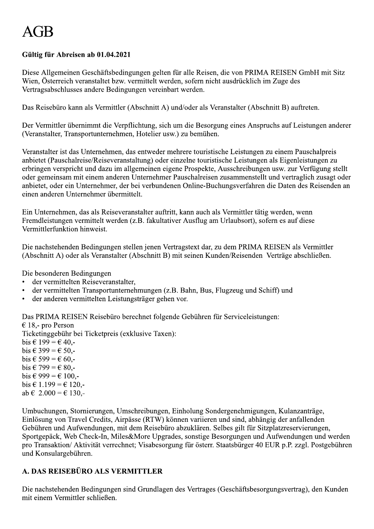# $A$ ( $H$

# Gültig für Abreisen ab 01.04.2021

Diese Allgemeinen Geschäftsbedingungen gelten für alle Reisen, die von PRIMA REISEN GmbH mit Sitz Wien, Österreich veranstaltet bzw. vermittelt werden, sofern nicht ausdrücklich im Zuge des Vertragsabschlusses andere Bedingungen vereinbart werden.

Das Reisebüro kann als Vermittler (Abschnitt A) und/oder als Veranstalter (Abschnitt B) auftreten.

Der Vermittler übernimmt die Verpflichtung, sich um die Besorgung eines Anspruchs auf Leistungen anderer (Veranstalter, Transportunternehmen, Hotelier usw.) zu bemühen.

Veranstalter ist das Unternehmen, das entweder mehrere touristische Leistungen zu einem Pauschalpreis anbietet (Pauschalreise/Reiseveranstaltung) oder einzelne touristische Leistungen als Eigenleistungen zu erbringen verspricht und dazu im allgemeinen eigene Prospekte, Ausschreibungen usw. zur Verfügung stellt oder gemeinsam mit einem anderen Unternehmer Pauschalreisen zusammenstellt und vertraglich zusagt oder anbietet, oder ein Unternehmer, der bei verbundenen Online-Buchungsverfahren die Daten des Reisenden an einen anderen Unternehmer übermittelt.

Ein Unternehmen, das als Reiseveranstalter auftritt, kann auch als Vermittler tätig werden, wenn Fremdleistungen vermittelt werden (z.B. fakultativer Ausflug am Urlaubsort), sofern es auf diese Vermittlerfunktion hinweist.

Die nachstehenden Bedingungen stellen jenen Vertragstext dar, zu dem PRIMA REISEN als Vermittler (Abschnitt A) oder als Veranstalter (Abschnitt B) mit seinen Kunden/Reisenden Verträge abschließen.

Die besonderen Bedingungen

- der vermittelten Reiseveranstalter.
- der vermittelten Transportunternehmungen (z.B. Bahn, Bus, Flugzeug und Schiff) und
- $\bullet$ der anderen vermittelten Leistungsträger gehen vor.

Das PRIMA REISEN Reisebüro berechnet folgende Gebühren für Serviceleistungen:

€ 18,- pro Person Ticketinggebühr bei Ticketpreis (exklusive Taxen): bis  $\in$  199 =  $\in$  40.bis  $\in$  399 =  $\in$  50.bis € 599 = € 60,bis  $\in$  799 =  $\in$  80,bis  $\in$  999 =  $\in$  100.bis  $\in$  1.199 =  $\in$  120,ab  $\in 2.000 = \in 130$ .

Umbuchungen, Stornierungen, Umschreibungen, Einholung Sondergenehmigungen, Kulanzanträge, Einlösung von Travel Credits, Airpässe (RTW) können variieren und sind, abhängig der anfallenden Gebühren und Aufwendungen, mit dem Reisebüro abzuklären. Selbes gilt für Sitzplatzreservierungen, Sportgepäck, Web Check-In, Miles&More Upgrades, sonstige Besorgungen und Aufwendungen und werden pro Transaktion/ Aktivität verrechnet; Visabesorgung für österr. Staatsbürger 40 EUR p.P. zzgl. Postgebühren und Konsulargebühren.

# A. DAS REISEBÜRO ALS VERMITTLER

Die nachstehenden Bedingungen sind Grundlagen des Vertrages (Geschäftsbesorgungsvertrag), den Kunden mit einem Vermittler schließen.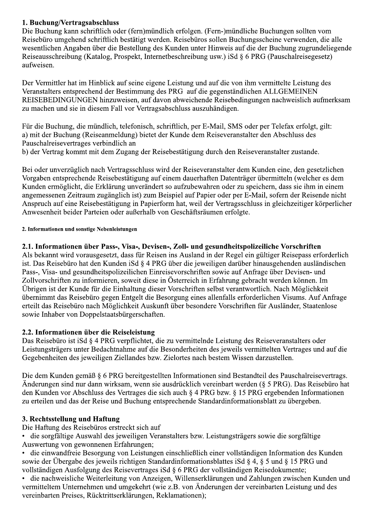# 1. Buchung/Vertragsabschluss

Die Buchung kann schriftlich oder (fern)mündlich erfolgen. (Fern-)mündliche Buchungen sollten vom Reisebüro umgehend schriftlich bestätigt werden. Reisebüros sollen Buchungsscheine verwenden, die alle wesentlichen Angaben über die Bestellung des Kunden unter Hinweis auf die der Buchung zugrundeliegende Reiseausschreibung (Katalog, Prospekt, Internetbeschreibung usw.) iSd § 6 PRG (Pauschalreisegesetz) aufweisen.

Der Vermittler hat im Hinblick auf seine eigene Leistung und auf die von ihm vermittelte Leistung des Veranstalters entsprechend der Bestimmung des PRG auf die gegenständlichen ALLGEMEINEN REISEBEDINGUNGEN hinzuweisen, auf davon abweichende Reisebedingungen nachweislich aufmerksam zu machen und sie in diesem Fall vor Vertragsabschluss auszuhändigen.

Für die Buchung, die mündlich, telefonisch, schriftlich, per E-Mail, SMS oder per Telefax erfolgt, gilt: a) mit der Buchung (Reiseanmeldung) bietet der Kunde dem Reiseveranstalter den Abschluss des Pauschalreisevertrages verbindlich an b) der Vertrag kommt mit dem Zugang der Reisebestätigung durch den Reiseveranstalter zustande.

Bei oder unverzüglich nach Vertragsschluss wird der Reiseveranstalter dem Kunden eine, den gesetzlichen Vorgaben entsprechende Reisebestätigung auf einem dauerhaften Datenträger übermitteln (welcher es dem Kunden ermöglicht, die Erklärung unverändert so aufzubewahren oder zu speichern, dass sie ihm in einem angemessenen Zeitraum zugänglich ist) zum Beispiel auf Papier oder per E-Mail, sofern der Reisende nicht Anspruch auf eine Reisebestätigung in Papierform hat, weil der Vertragsschluss in gleichzeitiger körperlicher Anwesenheit beider Parteien oder außerhalb von Geschäftsräumen erfolgte.

#### 2. Informationen und sonstige Nebenleistungen

# 2.1. Informationen über Pass-, Visa-, Devisen-, Zoll- und gesundheitspolizeiliche Vorschriften

Als bekannt wird vorausgesetzt, dass für Reisen ins Ausland in der Regel ein gültiger Reisepass erforderlich ist. Das Reisebüro hat den Kunden iSd § 4 PRG über die jeweiligen darüber hinausgehenden ausländischen Pass-, Visa- und gesundheitspolizeilichen Einreisevorschriften sowie auf Anfrage über Devisen- und Zollvorschriften zu informieren, soweit diese in Österreich in Erfahrung gebracht werden können. Im Übrigen ist der Kunde für die Einhaltung dieser Vorschriften selbst verantwortlich. Nach Möglichkeit übernimmt das Reisebüro gegen Entgelt die Besorgung eines allenfalls erforderlichen Visums. Auf Anfrage erteilt das Reisebüro nach Möglichkeit Auskunft über besondere Vorschriften für Ausländer, Staatenlose sowie Inhaber von Doppelstaatsbürgerschaften.

## 2.2. Informationen über die Reiseleistung

Das Reisebüro ist iSd § 4 PRG verpflichtet, die zu vermittelnde Leistung des Reiseveranstalters oder Leistungsträgers unter Bedachtnahme auf die Besonderheiten des jeweils vermittelten Vertrages und auf die Gegebenheiten des jeweiligen Ziellandes bzw. Zielortes nach bestem Wissen darzustellen.

Die dem Kunden gemäß § 6 PRG bereitgestellten Informationen sind Bestandteil des Pauschalreisevertrags. Änderungen sind nur dann wirksam, wenn sie ausdrücklich vereinbart werden (§ 5 PRG). Das Reisebüro hat den Kunden vor Abschluss des Vertrages die sich auch § 4 PRG bzw. § 15 PRG ergebenden Informationen zu erteilen und das der Reise und Buchung entsprechende Standardinformationsblatt zu übergeben.

# 3. Rechtsstellung und Haftung

Die Haftung des Reisebüros erstreckt sich auf

die sorgfältige Auswahl des jeweiligen Veranstalters bzw. Leistungsträgers sowie die sorgfältige Auswertung von gewonnenen Erfahrungen:

die einwandfreie Besorgung von Leistungen einschließlich einer vollständigen Information des Kunden sowie der Übergabe des jeweils richtigen Standardinformationsblattes iSd § 4, § 5 und § 15 PRG und vollständigen Ausfolgung des Reisevertrages iSd § 6 PRG der vollständigen Reisedokumente;

die nachweisliche Weiterleitung von Anzeigen, Willenserklärungen und Zahlungen zwischen Kunden und vermitteltem Unternehmen und umgekehrt (wie z.B. von Änderungen der vereinbarten Leistung und des vereinbarten Preises, Rücktrittserklärungen, Reklamationen);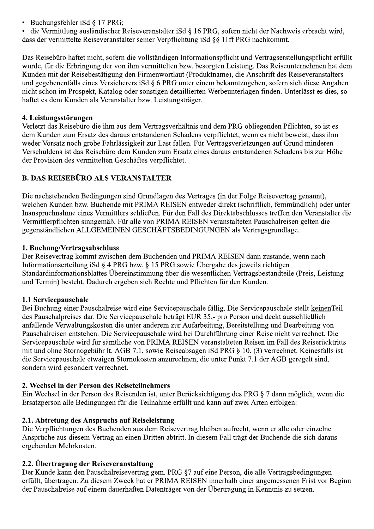- Buchungsfehler iSd  $\S$  17 PRG;
- die Vermittlung ausländischer Reiseveranstalter iSd § 16 PRG, sofern nicht der Nachweis erbracht wird, dass der vermittelte Reiseveranstalter seiner Verpflichtung iSd §§ 11ff PRG nachkommt.

Das Reisebüro haftet nicht, sofern die vollständigen Informationspflicht und Vertragserstellungspflicht erfüllt wurde, für die Erbringung der von ihm vermittelten bzw. besorgten Leistung. Das Reiseunternehmen hat dem Kunden mit der Reisebestätigung den Firmenwortlaut (Produktname), die Anschrift des Reiseveranstalters und gegebenenfalls eines Versicherers iSd § 6 PRG unter einem bekanntzugeben, sofern sich diese Angaben nicht schon im Prospekt, Katalog oder sonstigen detaillierten Werbeunterlagen finden. Unterlässt es dies, so haftet es dem Kunden als Veranstalter bzw. Leistungsträger.

# 4. Leistungsstörungen

Verletzt das Reisebüro die ihm aus dem Vertragsverhältnis und dem PRG obliegenden Pflichten, so ist es dem Kunden zum Ersatz des daraus entstandenen Schadens verpflichtet, wenn es nicht beweist, dass ihm weder Vorsatz noch grobe Fahrlässigkeit zur Last fallen. Für Vertragsverletzungen auf Grund minderen Verschuldens ist das Reisebüro dem Kunden zum Ersatz eines daraus entstandenen Schadens bis zur Höhe der Provision des vermittelten Geschäftes verpflichtet.

# **B. DAS REISEBÜRO ALS VERANSTALTER**

Die nachstehenden Bedingungen sind Grundlagen des Vertrages (in der Folge Reisevertrag genannt), welchen Kunden bzw. Buchende mit PRIMA REISEN entweder direkt (schriftlich, fernmündlich) oder unter Inanspruchnahme eines Vermittlers schließen. Für den Fall des Direktabschlusses treffen den Veranstalter die Vermittlerpflichten sinngemäß. Für alle von PRIMA REISEN veranstalteten Pauschalreisen gelten die gegenständlichen ALLGEMEINEN GESCHÄFTSBEDINGUNGEN als Vertragsgrundlage.

# 1. Buchung/Vertragsabschluss

Der Reisevertrag kommt zwischen dem Buchenden und PRIMA REISEN dann zustande, wenn nach Informations erteilung iSd § 4 PRG bzw. § 15 PRG sowie Übergabe des jeweils richtigen Standardinformationsblattes Übereinstimmung über die wesentlichen Vertragsbestandteile (Preis, Leistung und Termin) besteht. Dadurch ergeben sich Rechte und Pflichten für den Kunden.

# 1.1 Servicepauschale

Bei Buchung einer Pauschalreise wird eine Servicepauschale fällig. Die Servicepauschale stellt keinen Teil des Pauschalpreises dar. Die Servicepauschale beträgt EUR 35,- pro Person und deckt ausschließlich anfallende Verwaltungskosten die unter anderem zur Aufarbeitung, Bereitstellung und Bearbeitung von Pauschalreisen entstehen. Die Servicepauschale wird bei Durchführung einer Reise nicht verrechnet. Die Servicepauschale wird für sämtliche von PRIMA REISEN veranstalteten Reisen im Fall des Reiserücktritts mit und ohne Stornogebühr lt. AGB 7.1, sowie Reiseabsagen iSd PRG § 10. (3) verrechnet. Keinesfalls ist die Servicepauschale etwaigen Stornokosten anzurechnen, die unter Punkt 7.1 der AGB geregelt sind, sondern wird gesondert verrechnet.

# 2. Wechsel in der Person des Reiseteilnehmers

Ein Wechsel in der Person des Reisenden ist, unter Berücksichtigung des PRG § 7 dann möglich, wenn die Ersatzperson alle Bedingungen für die Teilnahme erfüllt und kann auf zwei Arten erfolgen:

# 2.1. Abtretung des Anspruchs auf Reiseleistung

Die Verpflichtungen des Buchenden aus dem Reisevertrag bleiben aufrecht, wenn er alle oder einzelne Ansprüche aus diesem Vertrag an einen Dritten abtritt. In diesem Fall trägt der Buchende die sich daraus ergebenden Mehrkosten.

# 2.2. Übertragung der Reiseveranstaltung

Der Kunde kann den Pauschalreisevertrag gem. PRG §7 auf eine Person, die alle Vertragsbedingungen erfüllt, übertragen. Zu diesem Zweck hat er PRIMA REISEN innerhalb einer angemessenen Frist vor Beginn der Pauschalreise auf einem dauerhaften Datenträger von der Übertragung in Kenntnis zu setzen.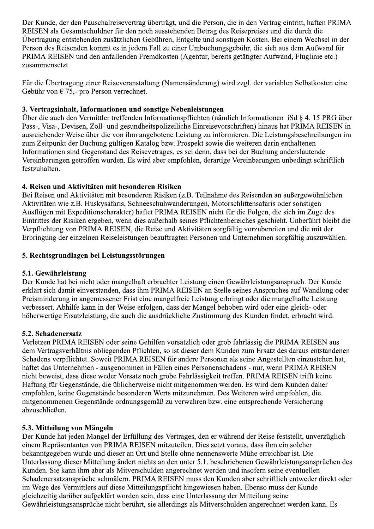Der Kunde, der den Pauschalreisevertrag überträgt, und die Person, die in den Vertrag eintritt, haften PRIMA REISEN als Gesamtschuldner für den noch ausstehenden Betrag des Reisepreises und die durch die Übertragung entstehenden zusätzlichen Gebühren, Entgelte und sonstigen Kosten. Bei einem Wechsel in der Person des Reisenden kommt es in jedem Fall zu einer Umbuchungsgebühr, die sich aus dem Aufwand für PRIMA REISEN und den anfallenden Fremdkosten (Agentur, bereits getätigter Aufwand, Fluglinie etc.) zusammensetzt.

Für die Übertragung einer Reiseveranstaltung (Namensänderung) wird zzgl. der variablen Selbstkosten eine Gebühr von  $\in$  75,- pro Person verrechnet.

## 3. Vertragsinhalt, Informationen und sonstige Nebenleistungen

Über die auch den Vermittler treffenden Informationspflichten (nämlich Informationen iSd § 4, 15 PRG über Pass-, Visa-, Devisen, Zoll- und gesundheitspolizeiliche Einreisevorschriften) hinaus hat PRIMA REISEN in ausreichender Weise über die von ihm angebotene Leistung zu informieren. Die Leistungsbeschreibungen im zum Zeitpunkt der Buchung gültigen Katalog bzw. Prospekt sowie die weiteren darin enthaltenen Informationen sind Gegenstand des Reisevetrages, es sei denn, dass bei der Buchung anderslautende Vereinbarungen getroffen wurden. Es wird aber empfohlen, derartige Vereinbarungen unbedingt schriftlich festzuhalten.

# 4. Reisen und Aktivitäten mit besonderen Risiken

Bei Reisen und Aktivitäten mit besonderen Risiken (z.B. Teilnahme des Reisenden an außergewöhnlichen Aktivitäten wie z.B. Huskysafaris, Schneeschuhwanderungen, Motorschlittensafaris oder sonstigen Ausflügen mit Expeditionscharakter) haftet PRIMA REISEN nicht für die Folgen, die sich im Zuge des Eintrittes der Risiken ergeben, wenn dies außerhalb seines Pflichtenbereiches geschieht. Unberührt bleibt die Verpflichtung von PRIMA REISEN, die Reise und Aktivitäten sorgfältig vorzubereiten und die mit der Erbringung der einzelnen Reiseleistungen beauftragten Personen und Unternehmen sorgfältig auszuwählen.

# 5. Rechtsgrundlagen bei Leistungsstörungen

## 5.1. Gewährleistung

Der Kunde hat bei nicht oder mangelhaft erbrachter Leistung einen Gewährleistungsanspruch. Der Kunde erklärt sich damit einverstanden, dass ihm PRIMA REISEN an Stelle seines Anspruches auf Wandlung oder Preisminderung in angemessener Frist eine mangelfreie Leistung erbringt oder die mangelhafte Leistung verbessert. Abhilfe kann in der Weise erfolgen, dass der Mangel behoben wird oder eine gleich- oder höherwertige Ersatzleistung, die auch die ausdrückliche Zustimmung des Kunden findet, erbracht wird.

## 5.2. Schadenersatz

Verletzen PRIMA REISEN oder seine Gehilfen vorsätzlich oder grob fahrlässig die PRIMA REISEN aus dem Vertragsverhältnis obliegenden Pflichten, so ist dieser dem Kunden zum Ersatz des daraus entstandenen Schadens verpflichtet. Soweit PRIMA REISEN für andere Personen als seine Angestellten einzustehen hat, haftet das Unternehmen - ausgenommen in Fällen eines Personenschadens - nur, wenn PRIMA REISEN nicht beweist, dass diese weder Vorsatz noch grobe Fahrlässigkeit treffen. PRIMA REISEN trifft keine Haftung für Gegenstände, die üblicherweise nicht mitgenommen werden. Es wird dem Kunden daher empfohlen, keine Gegenstände besonderen Werts mitzunehmen. Des Weiteren wird empfohlen, die mitgenommenen Gegenstände ordnungsgemäß zu verwahren bzw. eine entsprechende Versicherung abzuschließen.

## 5.3. Mitteilung von Mängeln

Der Kunde hat jeden Mangel der Erfüllung des Vertrages, den er während der Reise feststellt, unverzüglich einem Repräsentanten von PRIMA REISEN mitzuteilen. Dies setzt voraus, dass ihm ein solcher bekanntgegeben wurde und dieser an Ort und Stelle ohne nennenswerte Mühe erreichbar ist. Die Unterlassung dieser Mitteilung ändert nichts an den unter 5.1. beschriebenen Gewährleistungsansprüchen des Kunden. Sie kann ihm aber als Mitverschulden angerechnet werden und insofern seine eventuellen Schadenersatzansprüche schmälern. PRIMA REISEN muss den Kunden aber schriftlich entweder direkt oder im Wege des Vermittlers auf diese Mitteilungspflicht hingewiesen haben. Ebenso muss der Kunde gleichzeitig darüber aufgeklärt worden sein, dass eine Unterlassung der Mitteilung seine Gewährleistungsansprüche nicht berührt, sie allerdings als Mitverschulden angerechnet werden kann. Es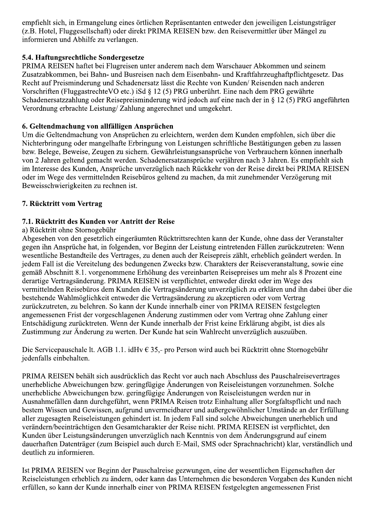empfiehlt sich, in Ermangelung eines örtlichen Repräsentanten entweder den jeweiligen Leistungsträger (z.B. Hotel, Fluggesellschaft) oder direkt PRIMA REISEN bzw. den Reisevermittler über Mängel zu informieren und Abhilfe zu verlangen.

# 5.4. Haftungsrechtliche Sondergesetze

PRIMA REISEN haftet bei Flugreisen unter anderem nach dem Warschauer Abkommen und seinem Zusatzabkommen, bei Bahn- und Busreisen nach dem Eisenbahn- und Kraftfahrzeughaftpflichtgesetz. Das Recht auf Preisminderung und Schadenersatz lässt die Rechte von Kunden/Reisenden nach anderen Vorschriften (FluggastrechteVO etc.) iSd § 12 (5) PRG unberührt. Eine nach dem PRG gewährte Schadenersatzzahlung oder Reisepreisminderung wird jedoch auf eine nach der in § 12 (5) PRG angeführten Verordnung erbrachte Leistung/Zahlung angerechnet und umgekehrt.

## 6. Geltendmachung von allfälligen Ansprüchen

Um die Geltendmachung von Ansprüchen zu erleichtern, werden dem Kunden empfohlen, sich über die Nichterbringung oder mangelhafte Erbringung von Leistungen schriftliche Bestätigungen geben zu lassen bzw. Belege, Beweise, Zeugen zu sichern. Gewährleistungsansprüche von Verbrauchern können innerhalb von 2 Jahren geltend gemacht werden. Schadenersatzansprüche verjähren nach 3 Jahren. Es empfiehlt sich im Interesse des Kunden, Ansprüche unverzüglich nach Rückkehr von der Reise direkt bei PRIMA REISEN oder im Wege des vermittelnden Reisebüros geltend zu machen, da mit zunehmender Verzögerung mit Beweisschwierigkeiten zu rechnen ist.

# 7. Rücktritt vom Vertrag

# 7.1. Rücktritt des Kunden vor Antritt der Reise

# a) Rücktritt ohne Stornogebühr

Abgesehen von den gesetzlich eingeräumten Rücktrittsrechten kann der Kunde, ohne dass der Veranstalter gegen ihn Ansprüche hat, in folgenden, vor Beginn der Leistung eintretenden Fällen zurückzutreten: Wenn wesentliche Bestandteile des Vertrages, zu denen auch der Reisepreis zählt, erheblich geändert werden. In jedem Fall ist die Vereitelung des bedungenen Zwecks bzw. Charakters der Reiseveranstaltung, sowie eine gemäß Abschnitt 8.1. vorgenommene Erhöhung des vereinbarten Reisepreises um mehr als 8 Prozent eine derartige Vertragsänderung. PRIMA REISEN ist verpflichtet, entweder direkt oder im Wege des vermittelnden Reisebüros dem Kunden die Vertragsänderung unverzüglich zu erklären und ihn dabei über die bestehende Wahlmöglichkeit entweder die Vertragsänderung zu akzeptieren oder vom Vertrag zurückzutreten, zu belehren. So kann der Kunde innerhalb einer von PRIMA REISEN festgelegten angemessenen Frist der vorgeschlagenen Änderung zustimmen oder vom Vertrag ohne Zahlung einer Entschädigung zurücktreten. Wenn der Kunde innerhalb der Frist keine Erklärung abgibt, ist dies als Zustimmung zur Änderung zu werten. Der Kunde hat sein Wahlrecht unverzüglich auszuüben.

Die Servicepauschale lt. AGB 1.1. idHv  $\in$  35,- pro Person wird auch bei Rücktritt ohne Stornogebühr iedenfalls einbehalten.

PRIMA REISEN behält sich ausdrücklich das Recht vor auch nach Abschluss des Pauschalreisevertrages unerhebliche Abweichungen bzw. geringfügige Änderungen von Reiseleistungen vorzunehmen. Solche unerhebliche Abweichungen bzw. geringfügige Änderungen von Reiseleistungen werden nur in Ausnahmefällen dann durchgeführt, wenn PRIMA Reisen trotz Einhaltung aller Sorgfaltspflicht und nach bestem Wissen und Gewissen, aufgrund unvermeidbarer und außergewöhnlicher Umstände an der Erfüllung aller zugesagten Reiseleistungen gehindert ist. In jedem Fall sind solche Abweichungen unerheblich und verändern/beeinträchtigen den Gesamtcharakter der Reise nicht. PRIMA REISEN ist verpflichtet, den Kunden über Leistungsänderungen unverzüglich nach Kenntnis von dem Änderungsgrund auf einem dauerhaften Datenträger (zum Beispiel auch durch E-Mail, SMS oder Sprachnachricht) klar, verständlich und deutlich zu informieren.

Ist PRIMA REISEN vor Beginn der Pauschalreise gezwungen, eine der wesentlichen Eigenschaften der Reiseleistungen erheblich zu ändern, oder kann das Unternehmen die besonderen Vorgaben des Kunden nicht erfüllen, so kann der Kunde innerhalb einer von PRIMA REISEN festgelegten angemessenen Frist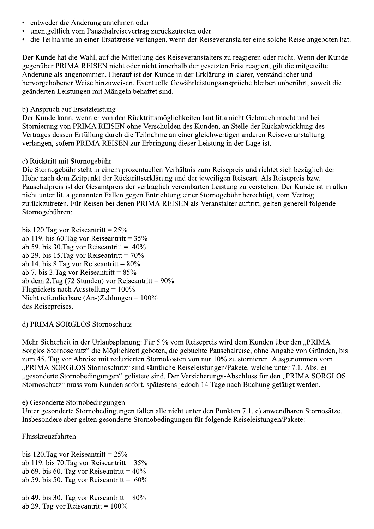- entweder die Änderung annehmen oder
- unentgeltlich vom Pauschalreisevertrag zurückzutreten oder
- die Teilnahme an einer Ersatzreise verlangen, wenn der Reiseveranstalter eine solche Reise angeboten hat.

Der Kunde hat die Wahl, auf die Mitteilung des Reiseveranstalters zu reagieren oder nicht. Wenn der Kunde gegenüber PRIMA REISEN nicht oder nicht innerhalb der gesetzten Frist reagiert, gilt die mitgeteilte Änderung als angenommen. Hierauf ist der Kunde in der Erklärung in klarer, verständlicher und hervorgehobener Weise hinzuweisen. Eventuelle Gewährleistungsansprüche bleiben unberührt, soweit die geänderten Leistungen mit Mängeln behaftet sind.

# b) Anspruch auf Ersatzleistung

Der Kunde kann, wenn er von den Rücktrittsmöglichkeiten laut lit. a nicht Gebrauch macht und bei Stornierung von PRIMA REISEN ohne Verschulden des Kunden, an Stelle der Rückabwicklung des Vertrages dessen Erfüllung durch die Teilnahme an einer gleichwertigen anderen Reiseveranstaltung verlangen, sofern PRIMA REISEN zur Erbringung dieser Leistung in der Lage ist.

# c) Rücktritt mit Stornogebühr

Die Stornogebühr steht in einem prozentuellen Verhältnis zum Reisepreis und richtet sich bezüglich der Höhe nach dem Zeitpunkt der Rücktrittserklärung und der jeweiligen Reiseart. Als Reisepreis bzw. Pauschalpreis ist der Gesamtpreis der vertraglich vereinbarten Leistung zu verstehen. Der Kunde ist in allen nicht unter lit. a genannten Fällen gegen Entrichtung einer Stornogebühr berechtigt, vom Vertrag zurückzutreten. Für Reisen bei denen PRIMA REISEN als Veranstalter auftritt, gelten generell folgende Stornogebühren:

bis 120. Tag vor Reiseantritt =  $25\%$ ab 119. bis 60. Tag vor Reiseantritt =  $35\%$ ab 59. bis 30. Tag vor Reiseantritt =  $40\%$ ab 29. bis 15. Tag vor Reiseantritt =  $70\%$ ab 14. bis 8. Tag vor Reiseantritt =  $80\%$ ab 7. bis 3. Tag vor Reiseantritt =  $85\%$ ab dem 2. Tag (72 Stunden) vor Reiseantritt =  $90\%$ Flugtickets nach Ausstellung =  $100\%$ Nicht refundierbare (An-)Zahlungen =  $100\%$ des Reisepreises.

# d) PRIMA SORGLOS Stornoschutz

Mehr Sicherheit in der Urlaubsplanung: Für 5 % vom Reisepreis wird dem Kunden über den "PRIMA Sorglos Stornoschutz" die Möglichkeit geboten, die gebuchte Pauschalreise, ohne Angabe von Gründen, bis zum 45. Tag vor Abreise mit reduzierten Stornokosten von nur 10% zu stornieren. Ausgenommen vom "PRIMA SORGLOS Stornoschutz" sind sämtliche Reiseleistungen/Pakete, welche unter 7.1. Abs. e) "gesonderte Stornobedingungen" gelistete sind. Der Versicherungs-Abschluss für den "PRIMA SORGLOS Stornoschutz" muss vom Kunden sofort, spätestens jedoch 14 Tage nach Buchung getätigt werden.

# e) Gesonderte Stornobedingungen

Unter gesonderte Stornobedingungen fallen alle nicht unter den Punkten 7.1. c) anwendbaren Stornosätze. Insbesondere aber gelten gesonderte Stornobedingungen für folgende Reiseleistungen/Pakete:

Flusskreuzfahrten

bis 120. Tag vor Reiseantritt =  $25\%$ ab 119. bis 70. Tag vor Reiseantritt =  $35\%$ ab 69. bis 60. Tag vor Reiseantritt =  $40\%$ ab 59. bis 50. Tag vor Reiseantritt =  $60\%$ 

ab 49. bis 30. Tag vor Reiseantritt =  $80\%$ ab 29. Tag vor Reiseantritt =  $100\%$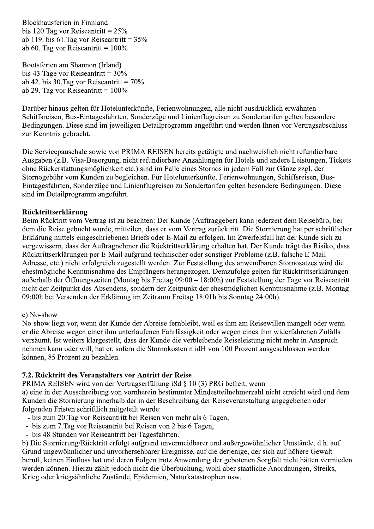Blockhausferien in Finnland bis 120. Tag vor Reiseantritt =  $25\%$ ab 119. bis 61. Tag vor Reiseantritt =  $35\%$ ab 60. Tag vor Reiseantritt =  $100\%$ 

Bootsferien am Shannon (Irland) bis 43 Tage vor Reiseantritt =  $30\%$ ab 42. bis 30. Tag vor Reiseantritt =  $70\%$ ab 29. Tag vor Reiseantritt =  $100\%$ 

Darüber hinaus gelten für Hotelunterkünfte, Ferienwohnungen, alle nicht ausdrücklich erwähnten Schiffsreisen, Bus-Eintagesfahrten, Sonderzüge und Linienflugreisen zu Sondertarifen gelten besondere Bedingungen. Diese sind im jeweiligen Detailprogramm angeführt und werden Ihnen vor Vertragsabschluss zur Kenntnis gebracht.

Die Servicepauschale sowie von PRIMA REISEN bereits getätigte und nachweislich nicht refundierbare Ausgaben (z.B. Visa-Besorgung, nicht refundierbare Anzahlungen für Hotels und andere Leistungen, Tickets ohne Rückerstattungsmöglichkeit etc.) sind im Falle eines Stornos in jedem Fall zur Gänze zzgl. der Stornogebühr vom Kunden zu begleichen. Für Hotelunterkünfte, Ferienwohnungen, Schiffsreisen, Bus-Eintagesfahrten, Sonderzüge und Linienflugreisen zu Sondertarifen gelten besondere Bedingungen. Diese sind im Detailprogramm angeführt.

#### Rücktrittserklärung

Beim Rücktritt vom Vertrag ist zu beachten: Der Kunde (Auftraggeber) kann jederzeit dem Reisebüro, bei dem die Reise gebucht wurde, mitteilen, dass er vom Vertrag zurücktritt. Die Stornierung hat per schriftlicher Erklärung mittels eingeschriebenen Briefs oder E-Mail zu erfolgen. Im Zweifelsfall hat der Kunde sich zu vergewissern, dass der Auftragnehmer die Rücktrittserklärung erhalten hat. Der Kunde trägt das Risiko, dass Rücktrittserklärungen per E-Mail aufgrund technischer oder sonstiger Probleme (z.B. falsche E-Mail Adresse, etc.) nicht erfolgreich zugestellt werden. Zur Feststellung des anwendbaren Stornosatzes wird die ehestmögliche Kenntnisnahme des Empfängers herangezogen. Demzufolge gelten für Rücktrittserklärungen außerhalb der Öffnungszeiten (Montag bis Freitag 09:00 – 18:00h) zur Feststellung der Tage vor Reiseantritt nicht der Zeitpunkt des Absendens, sondern der Zeitpunkt der ehestmöglichen Kenntnisnahme (z.B. Montag 09:00h bei Versenden der Erklärung im Zeitraum Freitag 18:01h bis Sonntag 24:00h).

#### e) No-show

No-show liegt vor, wenn der Kunde der Abreise fernbleibt, weil es ihm am Reisewillen mangelt oder wenn er die Abreise wegen einer ihm unterlaufenen Fahrlässigkeit oder wegen eines ihm widerfahrenen Zufalls versäumt. Ist weiters klargestellt, dass der Kunde die verbleibende Reiseleistung nicht mehr in Anspruch nehmen kann oder will, hat er, sofern die Stornokosten n idH von 100 Prozent ausgeschlossen werden können. 85 Prozent zu bezahlen.

#### 7.2. Rücktritt des Veranstalters vor Antritt der Reise

PRIMA REISEN wird von der Vertragserfüllung iSd § 10 (3) PRG befreit, wenn a) eine in der Ausschreibung von vornherein bestimmter Mindestteilnehmerzahl nicht erreicht wird und dem Kunden die Stornierung innerhalb der in der Beschreibung der Reiseveranstaltung angegebenen oder folgenden Fristen schriftlich mitgeteilt wurde:

- bis zum 20. Tag vor Reiseantritt bei Reisen von mehr als 6 Tagen.
- bis zum 7. Tag vor Reiseantritt bei Reisen von 2 bis 6 Tagen,
- bis 48 Stunden vor Reiseantritt bei Tagesfahrten.

b) Die Stornierung/Rücktritt erfolgt aufgrund unvermeidbarer und außergewöhnlicher Umstände, d.h. auf Grund ungewöhnlicher und unvorhersehbarer Ereignisse, auf die derjenige, der sich auf höhere Gewalt beruft, keinen Einfluss hat und deren Folgen trotz Anwendung der gebotenen Sorgfalt nicht hätten vermieden werden können. Hierzu zählt jedoch nicht die Überbuchung, wohl aber staatliche Anordnungen, Streiks, Krieg oder kriegsähnliche Zustände, Epidemien, Naturkatastrophen usw.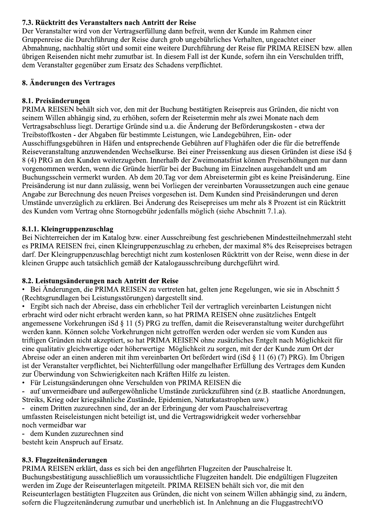# 7.3. Rücktritt des Veranstalters nach Antritt der Reise

Der Veranstalter wird von der Vertragserfüllung dann befreit, wenn der Kunde im Rahmen einer Gruppenreise die Durchführung der Reise durch grob ungebührliches Verhalten, ungeachtet einer Abmahnung, nachhaltig stört und somit eine weitere Durchführung der Reise für PRIMA REISEN bzw. allen übrigen Reisenden nicht mehr zumutbar ist. In diesem Fall ist der Kunde, sofern ihn ein Verschulden trifft, dem Veranstalter gegenüber zum Ersatz des Schadens verpflichtet.

# 8. Änderungen des Vertrages

# 8.1. Preisänderungen

PRIMA REISEN behält sich vor, den mit der Buchung bestätigten Reisepreis aus Gründen, die nicht von seinem Willen abhängig sind, zu erhöhen, sofern der Reisetermin mehr als zwei Monate nach dem Vertragsabschluss liegt. Derartige Gründe sind u.a. die Änderung der Beförderungskosten - etwa der Treibstoffkosten - der Abgaben für bestimmte Leistungen, wie Landegebühren, Ein- oder Ausschiffungsgebühren in Häfen und entsprechende Gebühren auf Flughäfen oder die für die betreffende Reiseveranstaltung anzuwendenden Wechselkurse. Bei einer Preissenkung aus diesen Gründen ist diese iSd § 8 (4) PRG an den Kunden weiterzugeben. Innerhalb der Zweimonatsfrist können Preiserhöhungen nur dann vorgenommen werden, wenn die Gründe hierfür bei der Buchung im Einzelnen ausgehandelt und am Buchungsschein vermerkt wurden. Ab dem 20. Tag vor dem Abreisetermin gibt es keine Preisänderung. Eine Preisänderung ist nur dann zulässig, wenn bei Vorliegen der vereinbarten Voraussetzungen auch eine genaue Angabe zur Berechnung des neuen Preises vorgesehen ist. Dem Kunden sind Preisänderungen und deren Umstände unverzüglich zu erklären. Bei Änderung des Reisepreises um mehr als 8 Prozent ist ein Rücktritt des Kunden vom Vertrag ohne Stornogebühr jedenfalls möglich (siehe Abschnitt 7.1.a).

# 8.1.1. Kleingruppenzuschlag

Bei Nichterreichen der im Katalog bzw. einer Ausschreibung fest geschriebenen Mindestteilnehmerzahl steht es PRIMA REISEN frei, einen Kleingruppenzuschlag zu erheben, der maximal 8% des Reisepreises betragen darf. Der Kleingruppenzuschlag berechtigt nicht zum kostenlosen Rücktritt von der Reise, wenn diese in der kleinen Gruppe auch tatsächlich gemäß der Katalogausschreibung durchgeführt wird.

# 8.2. Leistungsänderungen nach Antritt der Reise

Bei Änderungen, die PRIMA REISEN zu vertreten hat, gelten jene Regelungen, wie sie in Abschnitt 5 (Rechtsgrundlagen bei Leistungsstörungen) dargestellt sind.

Ergibt sich nach der Abreise, dass ein erheblicher Teil der vertraglich vereinbarten Leistungen nicht erbracht wird oder nicht erbracht werden kann, so hat PRIMA REISEN ohne zusätzliches Entgelt angemessene Vorkehrungen iSd § 11 (5) PRG zu treffen, damit die Reiseveranstaltung weiter durchgeführt werden kann. Können solche Vorkehrungen nicht getroffen werden oder werden sie vom Kunden aus triftigen Gründen nicht akzeptiert, so hat PRIMA REISEN ohne zusätzliches Entgelt nach Möglichkeit für eine qualitativ gleichwertige oder höherwertige Möglichkeit zu sorgen, mit der der Kunde zum Ort der Abreise oder an einen anderen mit ihm vereinbarten Ort befördert wird (iSd  $\S 11$  (6) (7) PRG). Im Übrigen ist der Veranstalter verpflichtet, bei Nichterfüllung oder mangelhafter Erfüllung des Vertrages dem Kunden zur Überwindung von Schwierigkeiten nach Kräften Hilfe zu leisten.

· Für Leistungsänderungen ohne Verschulden von PRIMA REISEN die

auf unvermeidbare und außergewöhnliche Umstände zurückzuführen sind (z.B. staatliche Anordnungen, Streiks, Krieg oder kriegsähnliche Zustände, Epidemien, Naturkatastrophen usw.)

einem Dritten zuzurechnen sind, der an der Erbringung der vom Pauschalreisevertrag umfassten Reiseleistungen nicht beteiligt ist, und die Vertragswidrigkeit weder vorhersehbar noch vermeidbar war

dem Kunden zuzurechnen sind

besteht kein Anspruch auf Ersatz.

# 8.3. Flugzeitenänderungen

PRIMA REISEN erklärt, dass es sich bei den angeführten Flugzeiten der Pauschalreise lt. Buchungsbestätigung ausschließlich um voraussichtliche Flugzeiten handelt. Die endgültigen Flugzeiten werden im Zuge der Reiseunterlagen mitgeteilt. PRIMA REISEN behält sich vor, die mit den Reiseunterlagen bestätigten Flugzeiten aus Gründen, die nicht von seinem Willen abhängig sind, zu ändern, sofern die Flugzeitenänderung zumutbar und unerheblich ist. In Anlehnung an die FluggastrechtVO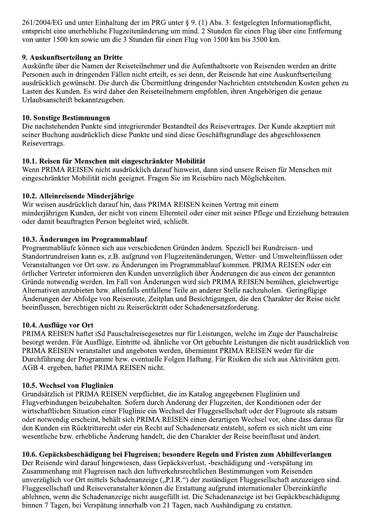261/2004/EG und unter Einhaltung der im PRG unter § 9. (1) Abs. 3. festgelegten Informationspflicht, entspricht eine unerhebliche Flugzeitenänderung um mind. 2 Stunden für einen Flug über eine Entfernung von unter 1500 km sowie um die 3 Stunden für einen Flug von 1500 km bis 3500 km.

## 9. Auskunftserteilung an Dritte

Auskünfte über die Namen der Reiseteilnehmer und die Aufenthaltsorte von Reisenden werden an dritte Personen auch in dringenden Fällen nicht erteilt, es sei denn, der Reisende hat eine Auskunftserteilung ausdrücklich gewünscht. Die durch die Übermittlung dringender Nachrichten entstehenden Kosten gehen zu Lasten des Kunden. Es wird daher den Reiseteilnehmern empfohlen, ihren Angehörigen die genaue Urlaubsanschrift bekanntzugeben.

#### 10. Sonstige Bestimmungen

Die nachstehenden Punkte sind integrierender Bestandteil des Reisevertrages. Der Kunde akzeptiert mit seiner Buchung ausdrücklich diese Punkte und sind diese Geschäftsgrundlage des abgeschlossenen Reisevertrags.

#### 10.1. Reisen für Menschen mit eingeschränkter Mobilität

Wenn PRIMA REISEN nicht ausdrücklich darauf hinweist, dann sind unsere Reisen für Menschen mit eingeschränkter Mobilität nicht geeignet. Fragen Sie im Reisebüro nach Möglichkeiten.

#### 10.2. Alleinreisende Minderjährige

Wir weisen ausdrücklich darauf hin, dass PRIMA REISEN keinen Vertrag mit einem minderjährigen Kunden, der nicht von einem Elternteil oder einer mit seiner Pflege und Erziehung betrauten oder damit beauftragten Person begleitet wird, schließt.

#### 10.3. Änderungen im Programmablauf

Programmabläufe können sich aus verschiedenen Gründen ändern. Speziell bei Rundreisen- und Standortrundreisen kann es, z.B. aufgrund von Flugzeitenänderungen, Wetter- und Umwelteinflüssen oder Veranstaltungen vor Ort usw. zu Änderungen im Programmablauf kommen. PRIMA REISEN oder ein örtlicher Vertreter informieren den Kunden unverzüglich über Änderungen die aus einem der genannten Gründe notwendig werden. Im Fall von Änderungen wird sich PRIMA REISEN bemühen, gleichwertige Alternativen anzubieten bzw. allenfalls entfallene Teile an anderer Stelle nachzuholen. Geringfügige Änderungen der Abfolge von Reiseroute, Zeitplan und Besichtigungen, die den Charakter der Reise nicht beeinflussen, berechtigen nicht zu Reiserücktritt oder Schadenersatzforderung.

#### 10.4. Ausflüge vor Ort

PRIMA REISEN haftet iSd Pauschalreisegesetzes nur für Leistungen, welche im Zuge der Pauschalreise besorgt werden. Für Ausflüge, Eintritte od. ähnliche vor Ort gebuchte Leistungen die nicht ausdrücklich von PRIMA REISEN veranstaltet und angeboten werden, übernimmt PRIMA REISEN weder für die Durchführung der Programme bzw. eventuelle Folgen Haftung. Für Risiken die sich aus Aktivitäten gem. AGB 4. ergeben, haftet PRIMA REISEN nicht.

## 10.5. Wechsel von Fluglinien

Grundsätzlich ist PRIMA REISEN verpflichtet, die im Katalog angegebenen Fluglinien und Flugverbindungen beizubehalten. Sofern durch Änderung der Flugzeiten, der Konditionen oder der wirtschaftlichen Situation einer Fluglinie ein Wechsel der Fluggesellschaft oder der Flugroute als ratsam oder notwendig erscheint, behält sich PRIMA REISEN einen derartigen Wechsel vor, ohne dass daraus für den Kunden ein Rücktrittsrecht oder ein Recht auf Schadenersatz entsteht, sofern es sich nicht um eine wesentliche bzw. erhebliche Änderung handelt, die den Charakter der Reise beeinflusst und ändert.

#### 10.6. Gepäcksbeschädigung bei Flugreisen; besondere Regeln und Fristen zum Abhilfeverlangen

Der Reisende wird darauf hingewiesen, dass Gepäcksverlust, -beschädigung und -verspätung im Zusammenhang mit Flugreisen nach den luftverkehrsrechtlichen Bestimmungen vom Reisenden unverzüglich vor Ort mittels Schadenanzeige ("P.I.R.") der zuständigen Fluggesellschaft anzuzeigen sind. Fluggesellschaft und Reiseveranstalter können die Erstattung aufgrund internationaler Übereinkünfte ablehnen, wenn die Schadenanzeige nicht ausgefüllt ist. Die Schadenanzeige ist bei Gepäckbeschädigung binnen 7 Tagen, bei Verspätung innerhalb von 21 Tagen, nach Aushändigung zu erstatten.